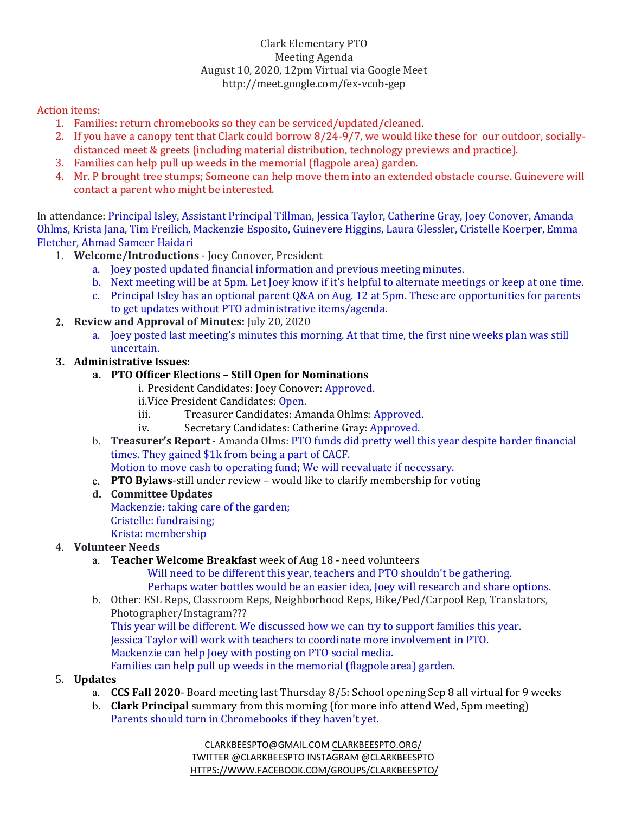### Clark Elementary PTO Meeting Agenda August 10, 2020, 12pm Virtual via Google Meet http://meet.google.com/fex-vcob-gep

Action items:

- 1. Families: return chromebooks so they can be serviced/updated/cleaned.
- 2. If you have a canopy tent that Clark could borrow 8/24-9/7, we would like these for our outdoor, sociallydistanced meet & greets (including material distribution, technology previews and practice).
- 3. Families can help pull up weeds in the memorial (flagpole area) garden.
- 4. Mr. P brought tree stumps; Someone can help move them into an extended obstacle course. Guinevere will contact a parent who might be interested.

In attendance: Principal Isley, Assistant Principal Tillman, Jessica Taylor, Catherine Gray, Joey Conover, Amanda Ohlms, Krista Jana, Tim Freilich, Mackenzie Esposito, Guinevere Higgins, Laura Glessler, Cristelle Koerper, Emma Fletcher, Ahmad Sameer Haidari

- 1. **Welcome/Introductions** Joey Conover, President
	- a. Joey posted updated financial information and previous meeting minutes.
	- b. Next meeting will be at 5pm. Let Joey know if it's helpful to alternate meetings or keep at one time.
	- c. Principal Isley has an optional parent  $Q&A$  on Aug. 12 at 5pm. These are opportunities for parents to get updates without PTO administrative items/agenda.
- **2. Review and Approval of Minutes:** July 20, 2020
	- a. Joey posted last meeting's minutes this morning. At that time, the first nine weeks plan was still uncertain.
- **3. Administrative Issues:**
	- **a. PTO Officer Elections Still Open for Nominations**
		- i. President Candidates: Joey Conover: Approved.
		- ii.Vice President Candidates: Open.
		- iii. Treasurer Candidates: Amanda Ohlms: Approved.
		- iv. Secretary Candidates: Catherine Gray: Approved.
	- b. **Treasurer's Report** Amanda Olms: PTO funds did pretty well this year despite harder financial times. They gained \$1k from being a part of CACF. Motion to move cash to operating fund; We will reevaluate if necessary.
	- c. **PTO Bylaws**-still under review would like to clarify membership for voting
	- **d. Committee Updates**  Mackenzie: taking care of the garden; Cristelle: fundraising; Krista: membership

# 4. **Volunteer Needs**

a. **Teacher Welcome Breakfast** week of Aug 18 - need volunteers

Will need to be different this year, teachers and PTO shouldn't be gathering. Perhaps water bottles would be an easier idea, Joey will research and share options.

- b. Other: ESL Reps, Classroom Reps, Neighborhood Reps, Bike/Ped/Carpool Rep, Translators, Photographer/Instagram??? This year will be different. We discussed how we can try to support families this year. Jessica Taylor will work with teachers to coordinate more involvement in PTO.
	- Mackenzie can help Joey with posting on PTO social media.

Families can help pull up weeds in the memorial (flagpole area) garden.

# 5. **Updates**

- a. **CCS Fall 2020** Board meeting last Thursday 8/5: School opening Sep 8 all virtual for 9 weeks
- b. **Clark Principal** summary from this morning (for more info attend Wed, 5pm meeting) Parents should turn in Chromebooks if they haven't yet.

CLARKBEESPTO@GMAIL.COM CLARKBEESPTO.ORG/ TWITTER @CLARKBEESPTO INSTAGRAM @CLARKBEESPTO HTTPS://WWW.FACEBOOK.COM/GROUPS/CLARKBEESPTO/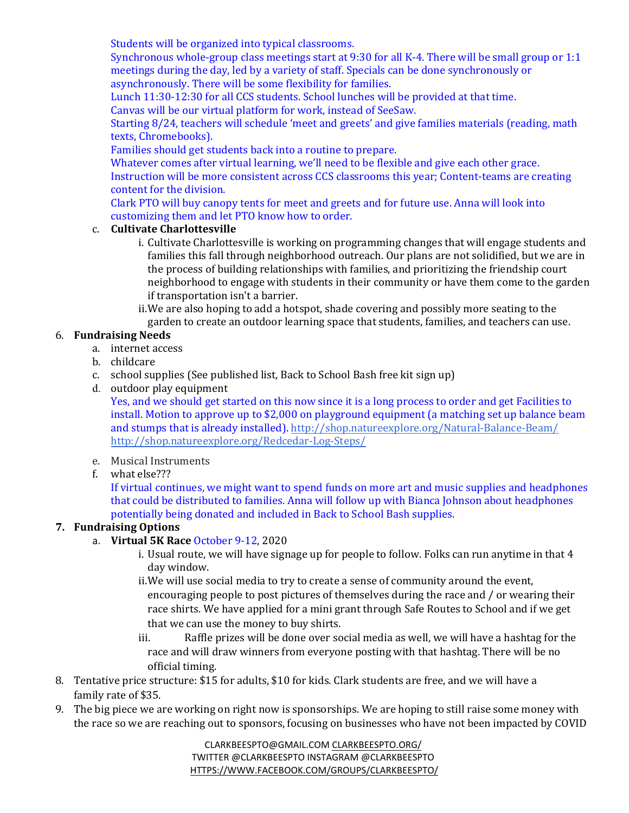Students will be organized into typical classrooms.

Synchronous whole-group class meetings start at 9:30 for all K-4. There will be small group or 1:1 meetings during the day, led by a variety of staff. Specials can be done synchronously or asynchronously. There will be some flexibility for families.

Lunch 11:30-12:30 for all CCS students. School lunches will be provided at that time. Canvas will be our virtual platform for work, instead of SeeSaw.

Starting 8/24, teachers will schedule 'meet and greets' and give families materials (reading, math texts, Chromebooks).

Families should get students back into a routine to prepare.

Whatever comes after virtual learning, we'll need to be flexible and give each other grace. Instruction will be more consistent across CCS classrooms this year; Content-teams are creating content for the division.

Clark PTO will buy canopy tents for meet and greets and for future use. Anna will look into customizing them and let PTO know how to order.

#### c. **Cultivate Charlottesville**

- i. Cultivate Charlottesville is working on programming changes that will engage students and families this fall through neighborhood outreach. Our plans are not solidified, but we are in the process of building relationships with families, and prioritizing the friendship court neighborhood to engage with students in their community or have them come to the garden if transportation isn't a barrier.
- ii.We are also hoping to add a hotspot, shade covering and possibly more seating to the garden to create an outdoor learning space that students, families, and teachers can use.

#### 6. **Fundraising Needs**

- a. internet access
- b. childcare
- c. school supplies (See published list, Back to School Bash free kit sign up)
- d. outdoor play equipment

Yes, and we should get started on this now since it is a long process to order and get Facilities to install. Motion to approve up to \$2,000 on playground equipment (a matching set up balance beam and stumps that is already installed). http://shop.natureexplore.org/Natural-Balance-Beam/ http://shop.natureexplore.org/Redcedar-Log-Steps/

- e. Musical Instruments
- f. what else???

If virtual continues, we might want to spend funds on more art and music supplies and headphones that could be distributed to families. Anna will follow up with Bianca Johnson about headphones potentially being donated and included in Back to School Bash supplies.

### **7. Fundraising Options**

#### a. **Virtual 5K Race** October 9-12, 2020

- i. Usual route, we will have signage up for people to follow. Folks can run anytime in that 4 day window.
- ii.We will use social media to try to create a sense of community around the event, encouraging people to post pictures of themselves during the race and / or wearing their race shirts. We have applied for a mini grant through Safe Routes to School and if we get that we can use the money to buy shirts.
- iii. Raffle prizes will be done over social media as well, we will have a hashtag for the race and will draw winners from everyone posting with that hashtag. There will be no official timing.
- 8. Tentative price structure: \$15 for adults, \$10 for kids. Clark students are free, and we will have a family rate of \$35.
- 9. The big piece we are working on right now is sponsorships. We are hoping to still raise some money with the race so we are reaching out to sponsors, focusing on businesses who have not been impacted by COVID

CLARKBEESPTO@GMAIL.COM CLARKBEESPTO.ORG/ TWITTER @CLARKBEESPTO INSTAGRAM @CLARKBEESPTO HTTPS://WWW.FACEBOOK.COM/GROUPS/CLARKBEESPTO/